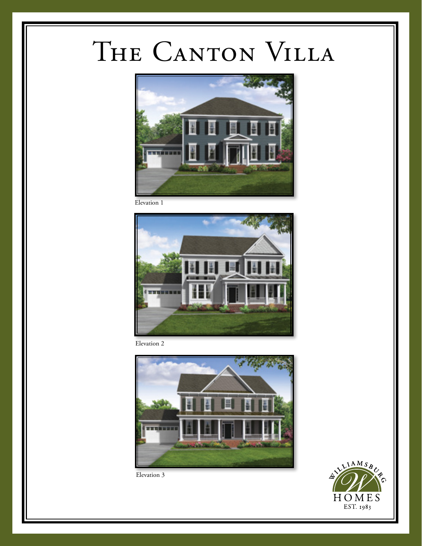## THE CANTON VILLA



Elevation 1



Elevation 2





Elevation 3